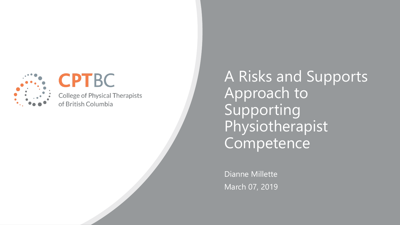

# **CPTBC**

**College of Physical Therapists** of British Columbia

A Risks and Supports Approach to Supporting Physiotherapist Competence

Dianne Millette March 07, 2019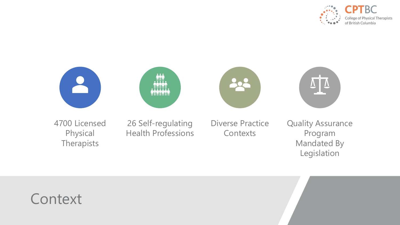



# **Context**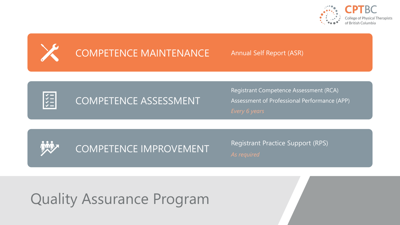



## COMPETENCE MAINTENANCE Annual Self Report (ASR)



## COMPETENCE ASSESSMENT

Registrant Competence Assessment (RCA) Assessment of Professional Performance (APP)



COMPETENCE IMPROVEMENT Registrant Practice Support (RPS)

# Quality Assurance Program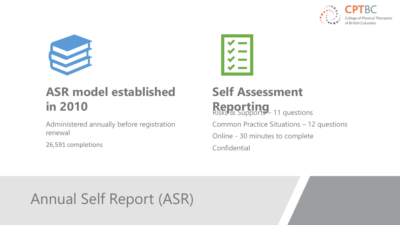



## **ASR model established in 2010**

Administered annually before registration renewal

26,591 completions



## **Self Assessment Reporting**<br>Risks & Supports – 11 questions Common Practice Situations – 12 questions Online - 30 minutes to complete **Confidential**

# Annual Self Report (ASR)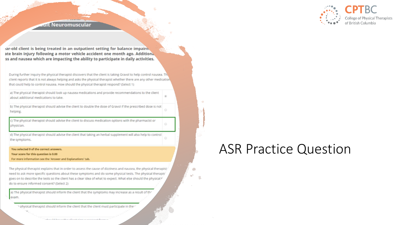

### **Rult Neuromuscular**

ar-old client is being treated in an outpatient setting for balance impairn. ate brain injury following a motor vehicle accident one month ago. Additional ss and nausea which are impacting the ability to participate in daily activities.

During further inquiry the physical therapist discovers that the client is taking Gravol to help control nausea. The client reports that it is not always helping and asks the physical therapist whether there are any other medication. that could help to control nausea. How should the physical therapist respond? (Select 1)

a) The physical therapist should look up nausea medications and provide recommendations to the client about additional medications to take.

b) The physical therapist should advise the client to double the dose of Gravol if the prescribed dose is not helping.

c) The physical therapist should advise the client to discuss medication options with the pharmacist or physician.

d) The physical therapist should advise the client that taking an herbal supplement will also help to control the symptoms.

#### You selected 0 of the correct answers.

Your score for this question is 0.00

For more information see the 'Answer and Explanations' tab.

The physical therapist explains that in order to assess the cause of dizziness and nausea, the physical therapist need to ask more specific questions about these symptoms and do some physical tests. The physical therapis' goes on to describe the tests so the client has a clear idea of what to expect. What else should the physical \* do to ensure informed consent? (Select 2)

a) The physical therapist should inform the client that the symptoms may increase as a result of the exam.

~ ohysical therapist should inform the client that the client must participate in the

## **ASR Practice Question**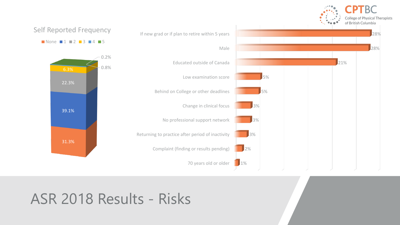

## ASR 2018 Results - Risks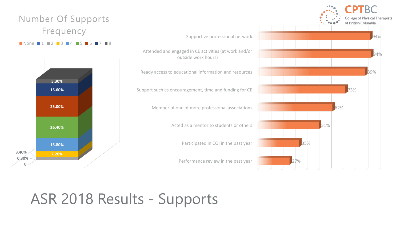### Number Of Supports Frequency

### $\blacksquare$  None  $\blacksquare$  1  $\blacksquare$  2  $\blacksquare$  3  $\blacksquare$  4  $\blacksquare$  5  $\blacksquare$  6  $\blacksquare$  7  $\blacksquare$  8



**College of Physical Therapists** of British Columbia 94% Supportive professional network Attended and engaged in CE activities (at work and/or 94% outside work hours) Ready access to educational information and resources 89% Support such as encouragement, time and funding for CE 73% Member of one of more professional associations 62% Acted as a mentor to students or others 51% Participated in CQI in the past year 35% Performance review in the past year 27%

# ASR 2018 Results - Supports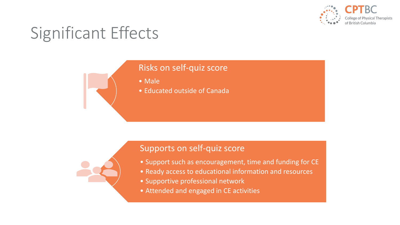

# Significant Effects

### Risks on self-quiz score

• Male

• Educated outside of Canada



### Supports on self-quiz score

- Support such as encouragement, time and funding for CE
- Ready access to educational information and resources
- Supportive professional network
- Attended and engaged in CE activities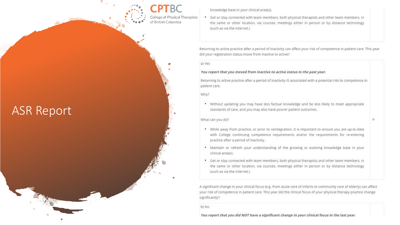College of Physical Therapists of British Columbia

knowledge base in your clinical area(s).

• Get or stay connected with team members, both physical therapists and other team members, in the same or other location, via courses, meetings either in person or by distance technology (such as via the internet.)

Returning to active practice after a period of inactivity can affect your risk of competence in patient care. This year did your registration status move from inactive to active?

a) Yes

### You report that you moved from inactive to active status in the past year.

Returning to active practice after a period of inactivity IS associated with a potential risk to competence in patient care.

Why?

. Without updating you may have less factual knowledge and be less likely to meet appropriate standards of care, and you may also have poorer patient outcomes.

What can you do?

- . While away from practice, or prior to reintegration, it is important to ensure you are up-to-date with College continuing competence requirements and/or the requirements for re-entering practice after a period of inactivity.
- . Maintain or refresh your understanding of the growing or evolving knowledge base in your clinical area(s).
- . Get or stay connected with team members, both physical therapists and other team members, in the same or other location, via courses, meetings either in person or by distance technology (such as via the Internet.)

A significant change in your clinical focus (e.g. from acute care of infants to community care of elderly) can affect your risk of competence in patient care. This year did the clinical focus of your physical therapy practice change significantly?

b) No

You report that you did NOT have a significant change in your clinical focus in the last year.

## **ASR Report**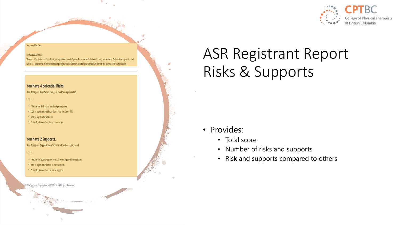

#### You scored 34.17%.

#### Notes about scoring:

There are 12 questions in the self quiz; each question is worth 1 point. There are no deductions for incorrect answers. Part marks are given for each part of the answer that is correct. For example if you select 3 answers and 1 of your 3 choices is correct, you score 0.33 for that question

### You have 4 potential Risks.

How does your 'Risk Score' compare to other registrants?

 $In 2015:$ 

- The average "Risk Score" was 1 risk per registrant
- 72% of registrants had fewer than 2 risks (i.e., 0 or 1 risk)
- 21% of registrants had 2 risks
- 7.5% of registrants had three or more risks

### You have 2 Supports.

How does your 'Support Score' compare to other registrants?

### In 2015:

- \* The average "Supports Score" was just over 5 supports per registrant
- 86% of registrants had four or more supports
- 5.5% of registrants had 2 or fewer supports

CSCW Systems Corporation (c) 2013-2016 All Rights Reserved.

# **ASR Registrant Report** Risks & Supports

- · Provides:
	- Total score
	- Number of risks and supports
	- Risk and supports compared to others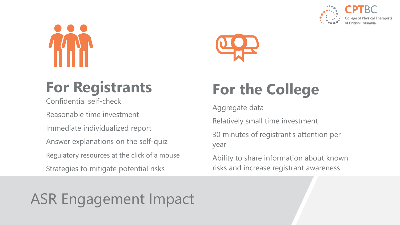





# **For Registrants**

Confidential self-check

Reasonable time investment

Immediate individualized report

Answer explanations on the self-quiz

Regulatory resources at the click of a mouse

Strategies to mitigate potential risks

# **For the College**

Aggregate data

Relatively small time investment

30 minutes of registrant's attention per year

Ability to share information about known risks and increase registrant awareness

# ASR Engagement Impact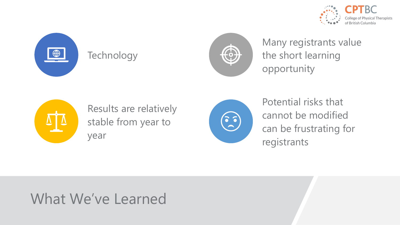



## **Technology**



Many registrants value the short learning opportunity



Results are relatively stable from year to year



Potential risks that cannot be modified can be frustrating for registrants

# What We've Learned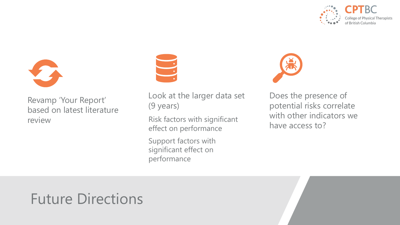



Revamp 'Your Report' based on latest literature review



Look at the larger data set (9 years)

Risk factors with significant effect on performance

Support factors with significant effect on performance



Does the presence of potential risks correlate with other indicators we have access to?

# Future Directions